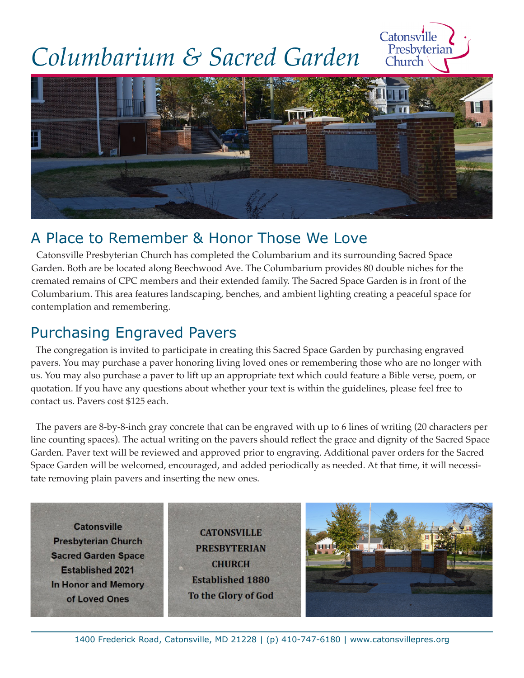## *Columbarium & Sacred Garden*





## A Place to Remember & Honor Those We Love

Catonsville Presbyterian Church has completed the Columbarium and its surrounding Sacred Space Garden. Both are be located along Beechwood Ave. The Columbarium provides 80 double niches for the cremated remains of CPC members and their extended family. The Sacred Space Garden is in front of the Columbarium. This area features landscaping, benches, and ambient lighting creating a peaceful space for contemplation and remembering.

## Purchasing Engraved Pavers

The congregation is invited to participate in creating this Sacred Space Garden by purchasing engraved pavers. You may purchase a paver honoring living loved ones or remembering those who are no longer with us. You may also purchase a paver to lift up an appropriate text which could feature a Bible verse, poem, or quotation. If you have any questions about whether your text is within the guidelines, please feel free to contact us. Pavers cost \$125 each.

The pavers are 8-by-8-inch gray concrete that can be engraved with up to 6 lines of writing (20 characters per line counting spaces). The actual writing on the pavers should reflect the grace and dignity of the Sacred Space Garden. Paver text will be reviewed and approved prior to engraving. Additional paver orders for the Sacred Space Garden will be welcomed, encouraged, and added periodically as needed. At that time, it will necessitate removing plain pavers and inserting the new ones.

**Catonsville Presbyterian Church Sacred Garden Space Established 2021** In Honor and Memory of Loved Ones

**CATONSVILLE PRESBYTERIAN CHURCH Established 1880** To the Glory of God